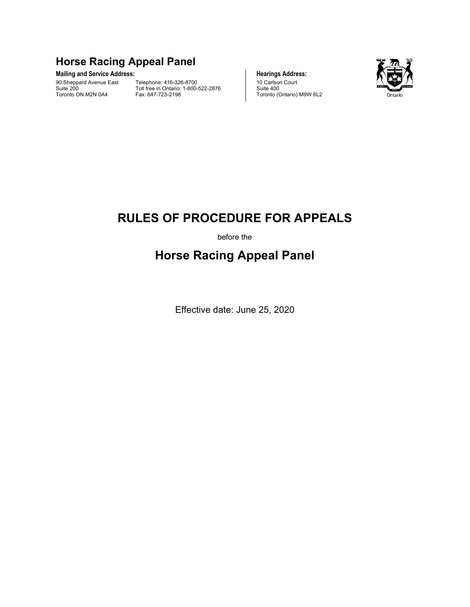# **Horse Racing Appeal Panel**

## Mailing and Service Address: **Mailing and Service Address: Hearings Address:**

90 Sheppard Avenue East Suite 200 Toronto ON M2N 0A4

Telephone: 416-326-8700 Toll free in Ontario: 1-800-522-2876 Fax: 647-723-2198





Suite 400

# **RULES OF PROCEDURE FOR APPEALS**

before the

# **Horse Racing Appeal Panel**

Effective date: June 25, 2020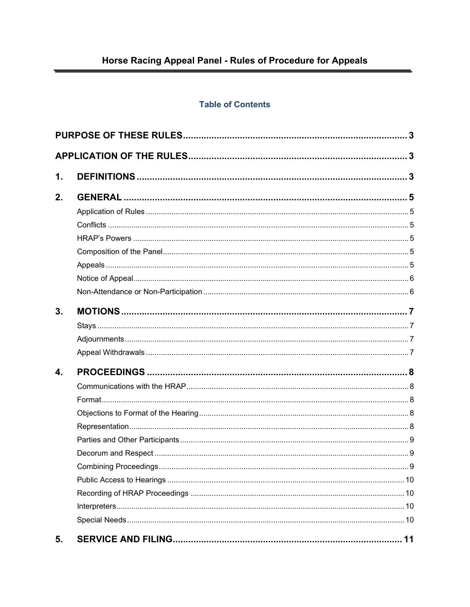# **Table of Contents**

| 1. |  |  |  |
|----|--|--|--|
| 2. |  |  |  |
|    |  |  |  |
|    |  |  |  |
|    |  |  |  |
|    |  |  |  |
|    |  |  |  |
|    |  |  |  |
|    |  |  |  |
| 3. |  |  |  |
|    |  |  |  |
|    |  |  |  |
|    |  |  |  |
| 4. |  |  |  |
|    |  |  |  |
|    |  |  |  |
|    |  |  |  |
|    |  |  |  |
|    |  |  |  |
|    |  |  |  |
|    |  |  |  |
|    |  |  |  |
|    |  |  |  |
|    |  |  |  |
|    |  |  |  |
| 5. |  |  |  |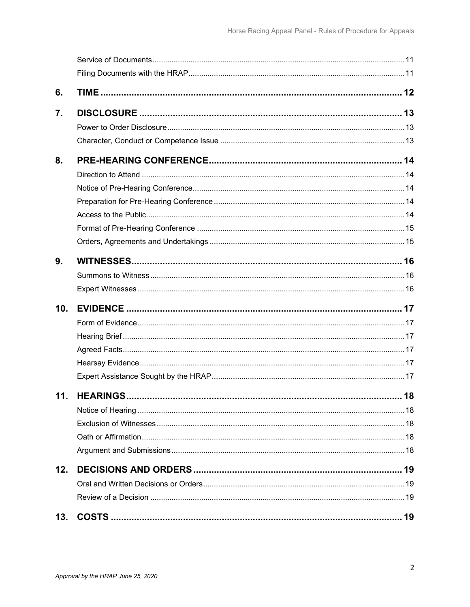| 6.              |  |
|-----------------|--|
| 7.              |  |
|                 |  |
|                 |  |
| 8.              |  |
|                 |  |
|                 |  |
|                 |  |
|                 |  |
|                 |  |
|                 |  |
| 9.              |  |
|                 |  |
|                 |  |
| 10 <sub>1</sub> |  |
|                 |  |
|                 |  |
|                 |  |
|                 |  |
|                 |  |
| 11.             |  |
|                 |  |
|                 |  |
|                 |  |
|                 |  |
| 12.             |  |
|                 |  |
|                 |  |
| 13.             |  |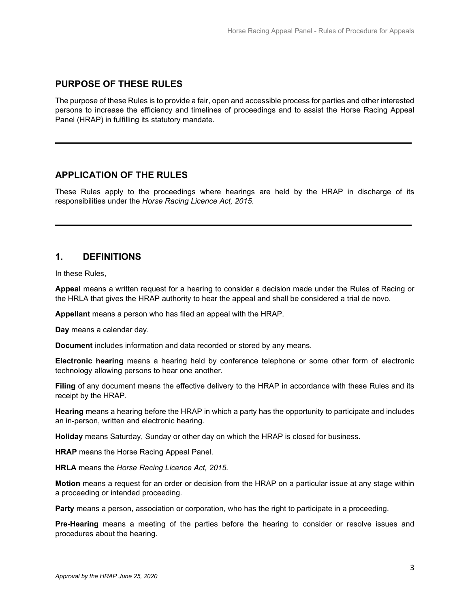# <span id="page-4-0"></span>**PURPOSE OF THESE RULES**

The purpose of these Rules is to provide a fair, open and accessible process for parties and other interested persons to increase the efficiency and timelines of proceedings and to assist the Horse Racing Appeal Panel (HRAP) in fulfilling its statutory mandate.

# <span id="page-4-1"></span>**APPLICATION OF THE RULES**

These Rules apply to the proceedings where hearings are held by the HRAP in discharge of its responsibilities under the *Horse Racing Licence Act, 2015*.

# <span id="page-4-2"></span>**1. DEFINITIONS**

In these Rules,

**Appeal** means a written request for a hearing to consider a decision made under the Rules of Racing or the HRLA that gives the HRAP authority to hear the appeal and shall be considered a trial de novo.

**Appellant** means a person who has filed an appeal with the HRAP.

**Day** means a calendar day.

**Document** includes information and data recorded or stored by any means.

**Electronic hearing** means a hearing held by conference telephone or some other form of electronic technology allowing persons to hear one another.

**Filing** of any document means the effective delivery to the HRAP in accordance with these Rules and its receipt by the HRAP.

**Hearing** means a hearing before the HRAP in which a party has the opportunity to participate and includes an in-person, written and electronic hearing.

**Holiday** means Saturday, Sunday or other day on which the HRAP is closed for business.

**HRAP** means the Horse Racing Appeal Panel.

**HRLA** means the *Horse Racing Licence Act, 2015.*

**Motion** means a request for an order or decision from the HRAP on a particular issue at any stage within a proceeding or intended proceeding.

**Party** means a person, association or corporation, who has the right to participate in a proceeding.

**Pre-Hearing** means a meeting of the parties before the hearing to consider or resolve issues and procedures about the hearing.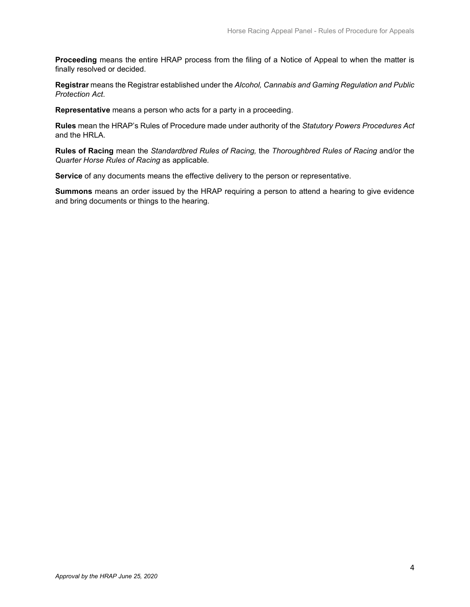**Proceeding** means the entire HRAP process from the filing of a Notice of Appeal to when the matter is finally resolved or decided.

**Registrar** means the Registrar established under the *Alcohol, Cannabis and Gaming Regulation and Public Protection Act*.

**Representative** means a person who acts for a party in a proceeding.

**Rules** mean the HRAP's Rules of Procedure made under authority of the *Statutory Powers Procedures Act* and the HRLA.

**Rules of Racing** mean the *Standardbred Rules of Racing,* the *Thoroughbred Rules of Racing* and/or the *Quarter Horse Rules of Racing* as applicable*.*

**Service** of any documents means the effective delivery to the person or representative.

**Summons** means an order issued by the HRAP requiring a person to attend a hearing to give evidence and bring documents or things to the hearing.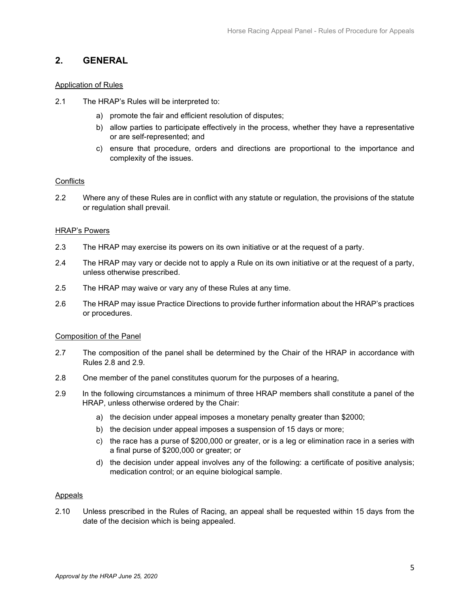## <span id="page-6-0"></span>**2. GENERAL**

## <span id="page-6-1"></span>Application of Rules

- 2.1 The HRAP's Rules will be interpreted to:
	- a) promote the fair and efficient resolution of disputes;
	- b) allow parties to participate effectively in the process, whether they have a representative or are self-represented; and
	- c) ensure that procedure, orders and directions are proportional to the importance and complexity of the issues.

## <span id="page-6-2"></span>**Conflicts**

2.2 Where any of these Rules are in conflict with any statute or regulation, the provisions of the statute or regulation shall prevail.

## <span id="page-6-3"></span>HRAP's Powers

- 2.3 The HRAP may exercise its powers on its own initiative or at the request of a party.
- 2.4 The HRAP may vary or decide not to apply a Rule on its own initiative or at the request of a party, unless otherwise prescribed.
- 2.5 The HRAP may waive or vary any of these Rules at any time.
- 2.6 The HRAP may issue Practice Directions to provide further information about the HRAP's practices or procedures.

## <span id="page-6-4"></span>Composition of the Panel

- 2.7 The composition of the panel shall be determined by the Chair of the HRAP in accordance with Rules 2.8 and 2.9.
- 2.8 One member of the panel constitutes quorum for the purposes of a hearing,
- 2.9 In the following circumstances a minimum of three HRAP members shall constitute a panel of the HRAP, unless otherwise ordered by the Chair:
	- a) the decision under appeal imposes a monetary penalty greater than \$2000;
	- b) the decision under appeal imposes a suspension of 15 days or more;
	- c) the race has a purse of \$200,000 or greater, or is a leg or elimination race in a series with a final purse of \$200,000 or greater; or
	- d) the decision under appeal involves any of the following: a certificate of positive analysis; medication control; or an equine biological sample.

## <span id="page-6-5"></span>Appeals

2.10 Unless prescribed in the Rules of Racing, an appeal shall be requested within 15 days from the date of the decision which is being appealed.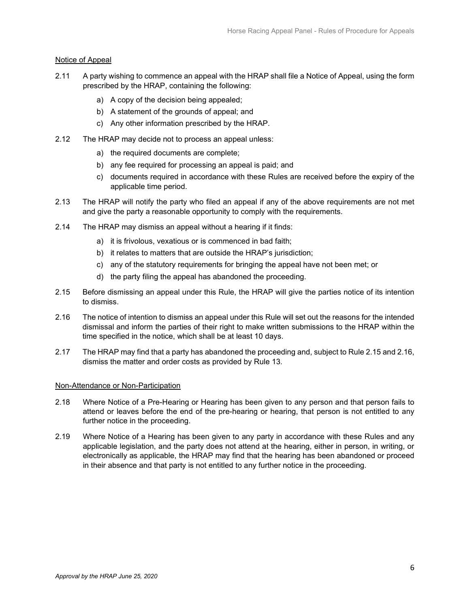## <span id="page-7-0"></span>Notice of Appeal

- 2.11 A party wishing to commence an appeal with the HRAP shall file a Notice of Appeal, using the form prescribed by the HRAP, containing the following:
	- a) A copy of the decision being appealed;
	- b) A statement of the grounds of appeal; and
	- c) Any other information prescribed by the HRAP.
- 2.12 The HRAP may decide not to process an appeal unless:
	- a) the required documents are complete;
	- b) any fee required for processing an appeal is paid; and
	- c) documents required in accordance with these Rules are received before the expiry of the applicable time period.
- 2.13 The HRAP will notify the party who filed an appeal if any of the above requirements are not met and give the party a reasonable opportunity to comply with the requirements.
- 2.14 The HRAP may dismiss an appeal without a hearing if it finds:
	- a) it is frivolous, vexatious or is commenced in bad faith;
	- b) it relates to matters that are outside the HRAP's jurisdiction;
	- c) any of the statutory requirements for bringing the appeal have not been met; or
	- d) the party filing the appeal has abandoned the proceeding.
- 2.15 Before dismissing an appeal under this Rule, the HRAP will give the parties notice of its intention to dismiss.
- 2.16 The notice of intention to dismiss an appeal under this Rule will set out the reasons for the intended dismissal and inform the parties of their right to make written submissions to the HRAP within the time specified in the notice, which shall be at least 10 days.
- 2.17 The HRAP may find that a party has abandoned the proceeding and, subject to Rule 2.15 and 2.16, dismiss the matter and order costs as provided by Rule 13.

## <span id="page-7-1"></span>Non-Attendance or Non-Participation

- 2.18 Where Notice of a Pre-Hearing or Hearing has been given to any person and that person fails to attend or leaves before the end of the pre-hearing or hearing, that person is not entitled to any further notice in the proceeding.
- 2.19 Where Notice of a Hearing has been given to any party in accordance with these Rules and any applicable legislation, and the party does not attend at the hearing, either in person, in writing, or electronically as applicable, the HRAP may find that the hearing has been abandoned or proceed in their absence and that party is not entitled to any further notice in the proceeding.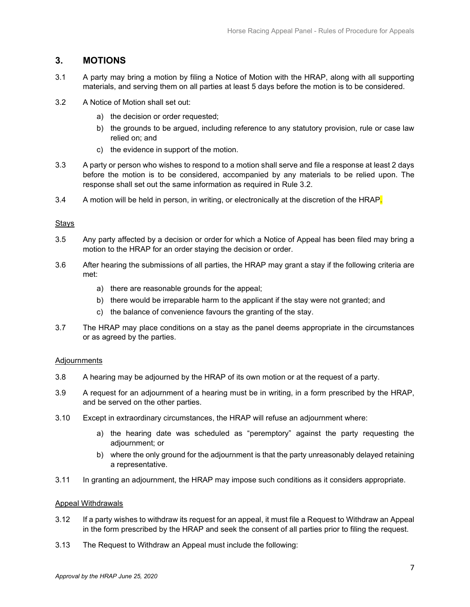# <span id="page-8-0"></span>**3. MOTIONS**

- 3.1 A party may bring a motion by filing a Notice of Motion with the HRAP, along with all supporting materials, and serving them on all parties at least 5 days before the motion is to be considered.
- 3.2 A Notice of Motion shall set out:
	- a) the decision or order requested;
	- b) the grounds to be argued, including reference to any statutory provision, rule or case law relied on; and
	- c) the evidence in support of the motion.
- 3.3 A party or person who wishes to respond to a motion shall serve and file a response at least 2 days before the motion is to be considered, accompanied by any materials to be relied upon. The response shall set out the same information as required in Rule 3.2.
- 3.4 A motion will be held in person, in writing, or electronically at the discretion of the HRAP.

## <span id="page-8-1"></span>**Stays**

- 3.5 Any party affected by a decision or order for which a Notice of Appeal has been filed may bring a motion to the HRAP for an order staying the decision or order.
- 3.6 After hearing the submissions of all parties, the HRAP may grant a stay if the following criteria are met:
	- a) there are reasonable grounds for the appeal;
	- b) there would be irreparable harm to the applicant if the stay were not granted; and
	- c) the balance of convenience favours the granting of the stay.
- 3.7 The HRAP may place conditions on a stay as the panel deems appropriate in the circumstances or as agreed by the parties.

## <span id="page-8-2"></span>Adjournments

- 3.8 A hearing may be adjourned by the HRAP of its own motion or at the request of a party.
- 3.9 A request for an adjournment of a hearing must be in writing, in a form prescribed by the HRAP, and be served on the other parties.
- 3.10 Except in extraordinary circumstances, the HRAP will refuse an adjournment where:
	- a) the hearing date was scheduled as "peremptory" against the party requesting the adjournment; or
	- b) where the only ground for the adjournment is that the party unreasonably delayed retaining a representative.
- 3.11 In granting an adjournment, the HRAP may impose such conditions as it considers appropriate.

#### <span id="page-8-3"></span>Appeal Withdrawals

- 3.12 If a party wishes to withdraw its request for an appeal, it must file a Request to Withdraw an Appeal in the form prescribed by the HRAP and seek the consent of all parties prior to filing the request.
- 3.13 The Request to Withdraw an Appeal must include the following: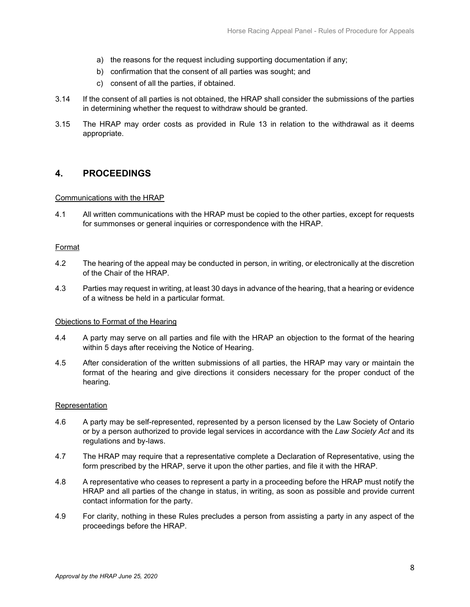- a) the reasons for the request including supporting documentation if any;
- b) confirmation that the consent of all parties was sought; and
- c) consent of all the parties, if obtained.
- 3.14 If the consent of all parties is not obtained, the HRAP shall consider the submissions of the parties in determining whether the request to withdraw should be granted.
- 3.15 The HRAP may order costs as provided in Rule 13 in relation to the withdrawal as it deems appropriate.

# <span id="page-9-0"></span>**4. PROCEEDINGS**

## <span id="page-9-1"></span>Communications with the HRAP

4.1 All written communications with the HRAP must be copied to the other parties, except for requests for summonses or general inquiries or correspondence with the HRAP.

## <span id="page-9-2"></span>Format

- 4.2 The hearing of the appeal may be conducted in person, in writing, or electronically at the discretion of the Chair of the HRAP.
- 4.3 Parties may request in writing, at least 30 days in advance of the hearing, that a hearing or evidence of a witness be held in a particular format.

## <span id="page-9-3"></span>Objections to Format of the Hearing

- 4.4 A party may serve on all parties and file with the HRAP an objection to the format of the hearing within 5 days after receiving the Notice of Hearing.
- 4.5 After consideration of the written submissions of all parties, the HRAP may vary or maintain the format of the hearing and give directions it considers necessary for the proper conduct of the hearing.

## <span id="page-9-4"></span>Representation

- 4.6 A party may be self-represented, represented by a person licensed by the Law Society of Ontario or by a person authorized to provide legal services in accordance with the *Law Society Act* and its regulations and by-laws.
- 4.7 The HRAP may require that a representative complete a Declaration of Representative, using the form prescribed by the HRAP, serve it upon the other parties, and file it with the HRAP.
- 4.8 A representative who ceases to represent a party in a proceeding before the HRAP must notify the HRAP and all parties of the change in status, in writing, as soon as possible and provide current contact information for the party.
- 4.9 For clarity, nothing in these Rules precludes a person from assisting a party in any aspect of the proceedings before the HRAP.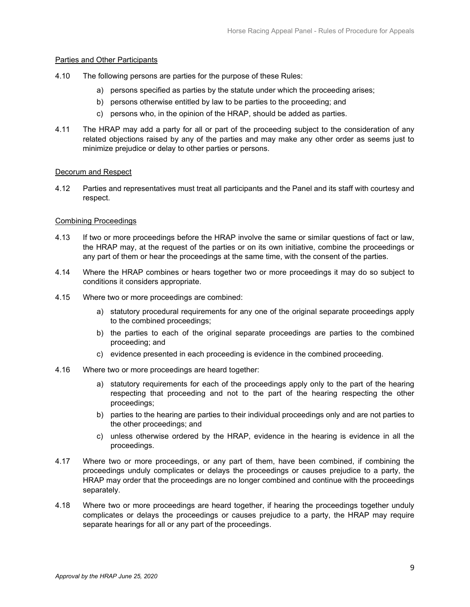## <span id="page-10-0"></span>Parties and Other Participants

- 4.10 The following persons are parties for the purpose of these Rules:
	- a) persons specified as parties by the statute under which the proceeding arises;
	- b) persons otherwise entitled by law to be parties to the proceeding; and
	- c) persons who, in the opinion of the HRAP, should be added as parties.
- 4.11 The HRAP may add a party for all or part of the proceeding subject to the consideration of any related objections raised by any of the parties and may make any other order as seems just to minimize prejudice or delay to other parties or persons.

### <span id="page-10-1"></span>Decorum and Respect

4.12 Parties and representatives must treat all participants and the Panel and its staff with courtesy and respect.

### <span id="page-10-2"></span>Combining Proceedings

- 4.13 If two or more proceedings before the HRAP involve the same or similar questions of fact or law, the HRAP may, at the request of the parties or on its own initiative, combine the proceedings or any part of them or hear the proceedings at the same time, with the consent of the parties.
- 4.14 Where the HRAP combines or hears together two or more proceedings it may do so subject to conditions it considers appropriate.
- 4.15 Where two or more proceedings are combined:
	- a) statutory procedural requirements for any one of the original separate proceedings apply to the combined proceedings;
	- b) the parties to each of the original separate proceedings are parties to the combined proceeding; and
	- c) evidence presented in each proceeding is evidence in the combined proceeding.
- 4.16 Where two or more proceedings are heard together:
	- a) statutory requirements for each of the proceedings apply only to the part of the hearing respecting that proceeding and not to the part of the hearing respecting the other proceedings;
	- b) parties to the hearing are parties to their individual proceedings only and are not parties to the other proceedings; and
	- c) unless otherwise ordered by the HRAP, evidence in the hearing is evidence in all the proceedings.
- 4.17 Where two or more proceedings, or any part of them, have been combined, if combining the proceedings unduly complicates or delays the proceedings or causes prejudice to a party, the HRAP may order that the proceedings are no longer combined and continue with the proceedings separately.
- 4.18 Where two or more proceedings are heard together, if hearing the proceedings together unduly complicates or delays the proceedings or causes prejudice to a party, the HRAP may require separate hearings for all or any part of the proceedings.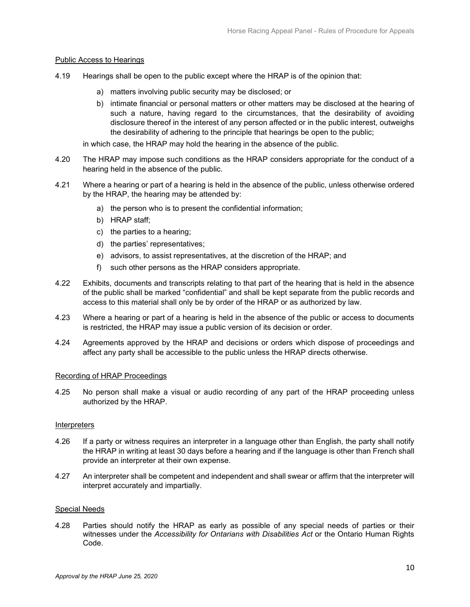## <span id="page-11-0"></span>Public Access to Hearings

- 4.19 Hearings shall be open to the public except where the HRAP is of the opinion that:
	- a) matters involving public security may be disclosed; or
	- b) intimate financial or personal matters or other matters may be disclosed at the hearing of such a nature, having regard to the circumstances, that the desirability of avoiding disclosure thereof in the interest of any person affected or in the public interest, outweighs the desirability of adhering to the principle that hearings be open to the public;

in which case, the HRAP may hold the hearing in the absence of the public.

- 4.20 The HRAP may impose such conditions as the HRAP considers appropriate for the conduct of a hearing held in the absence of the public.
- 4.21 Where a hearing or part of a hearing is held in the absence of the public, unless otherwise ordered by the HRAP, the hearing may be attended by:
	- a) the person who is to present the confidential information;
	- b) HRAP staff;
	- c) the parties to a hearing;
	- d) the parties' representatives;
	- e) advisors, to assist representatives, at the discretion of the HRAP; and
	- f) such other persons as the HRAP considers appropriate.
- 4.22 Exhibits, documents and transcripts relating to that part of the hearing that is held in the absence of the public shall be marked "confidential" and shall be kept separate from the public records and access to this material shall only be by order of the HRAP or as authorized by law.
- 4.23 Where a hearing or part of a hearing is held in the absence of the public or access to documents is restricted, the HRAP may issue a public version of its decision or order.
- 4.24 Agreements approved by the HRAP and decisions or orders which dispose of proceedings and affect any party shall be accessible to the public unless the HRAP directs otherwise.

#### <span id="page-11-1"></span>Recording of HRAP Proceedings

4.25 No person shall make a visual or audio recording of any part of the HRAP proceeding unless authorized by the HRAP.

#### <span id="page-11-2"></span>Interpreters

- 4.26 If a party or witness requires an interpreter in a language other than English, the party shall notify the HRAP in writing at least 30 days before a hearing and if the language is other than French shall provide an interpreter at their own expense.
- 4.27 An interpreter shall be competent and independent and shall swear or affirm that the interpreter will interpret accurately and impartially.

#### <span id="page-11-3"></span>Special Needs

4.28 Parties should notify the HRAP as early as possible of any special needs of parties or their witnesses under the *Accessibility for Ontarians with Disabilities Act* or the Ontario Human Rights Code.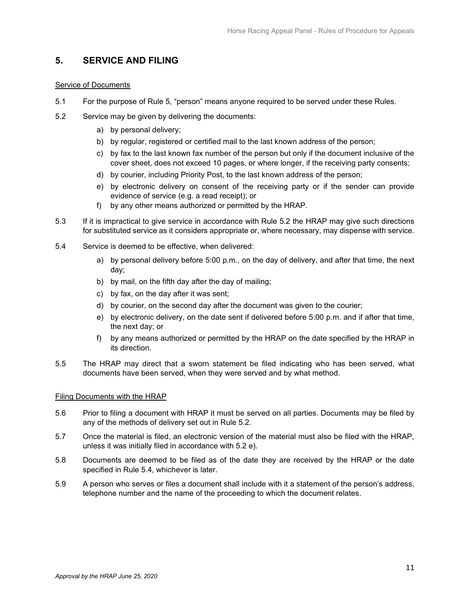# <span id="page-12-0"></span>**5. SERVICE AND FILING**

## <span id="page-12-1"></span>Service of Documents

- 5.1 For the purpose of Rule 5, "person" means anyone required to be served under these Rules.
- 5.2 Service may be given by delivering the documents:
	- a) by personal delivery;
	- b) by regular, registered or certified mail to the last known address of the person;
	- c) by fax to the last known fax number of the person but only if the document inclusive of the cover sheet, does not exceed 10 pages, or where longer, if the receiving party consents;
	- d) by courier, including Priority Post, to the last known address of the person;
	- e) by electronic delivery on consent of the receiving party or if the sender can provide evidence of service (e.g. a read receipt); or
	- f) by any other means authorized or permitted by the HRAP.
- 5.3 If it is impractical to give service in accordance with Rule 5.2 the HRAP may give such directions for substituted service as it considers appropriate or, where necessary, may dispense with service.
- 5.4 Service is deemed to be effective, when delivered:
	- a) by personal delivery before 5:00 p.m., on the day of delivery, and after that time, the next day;
	- b) by mail, on the fifth day after the day of mailing;
	- c) by fax, on the day after it was sent;
	- d) by courier, on the second day after the document was given to the courier;
	- e) by electronic delivery, on the date sent if delivered before 5:00 p.m. and if after that time, the next day; or
	- f) by any means authorized or permitted by the HRAP on the date specified by the HRAP in its direction.
- 5.5 The HRAP may direct that a sworn statement be filed indicating who has been served, what documents have been served, when they were served and by what method.

## <span id="page-12-2"></span>Filing Documents with the HRAP

- 5.6 Prior to filing a document with HRAP it must be served on all parties. Documents may be filed by any of the methods of delivery set out in Rule 5.2.
- 5.7 Once the material is filed, an electronic version of the material must also be filed with the HRAP, unless it was initially filed in accordance with 5.2 e).
- 5.8 Documents are deemed to be filed as of the date they are received by the HRAP or the date specified in Rule 5.4, whichever is later.
- 5.9 A person who serves or files a document shall include with it a statement of the person's address, telephone number and the name of the proceeding to which the document relates.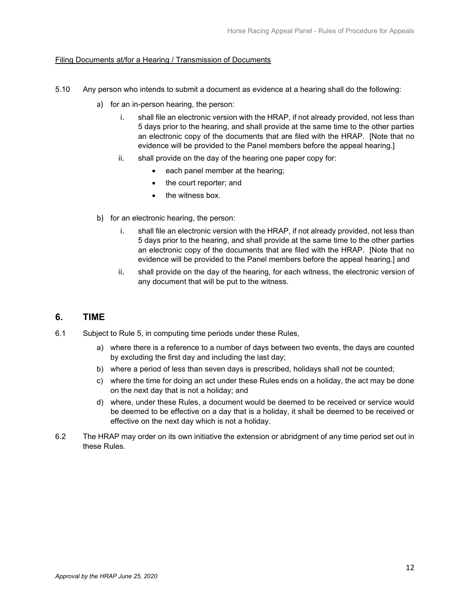## Filing Documents at/for a Hearing / Transmission of Documents

- 5.10 Any person who intends to submit a document as evidence at a hearing shall do the following:
	- a) for an in-person hearing, the person:
		- i. shall file an electronic version with the HRAP, if not already provided, not less than 5 days prior to the hearing, and shall provide at the same time to the other parties an electronic copy of the documents that are filed with the HRAP. [Note that no evidence will be provided to the Panel members before the appeal hearing.]
		- ii. shall provide on the day of the hearing one paper copy for:
			- each panel member at the hearing;
			- the court reporter; and
			- the witness box.
	- b) for an electronic hearing, the person:
		- i. shall file an electronic version with the HRAP, if not already provided, not less than 5 days prior to the hearing, and shall provide at the same time to the other parties an electronic copy of the documents that are filed with the HRAP. [Note that no evidence will be provided to the Panel members before the appeal hearing.] and
		- ii. shall provide on the day of the hearing, for each witness, the electronic version of any document that will be put to the witness.

# <span id="page-13-0"></span>**6. TIME**

- 6.1 Subject to Rule 5, in computing time periods under these Rules,
	- a) where there is a reference to a number of days between two events, the days are counted by excluding the first day and including the last day;
	- b) where a period of less than seven days is prescribed, holidays shall not be counted;
	- c) where the time for doing an act under these Rules ends on a holiday, the act may be done on the next day that is not a holiday; and
	- d) where, under these Rules, a document would be deemed to be received or service would be deemed to be effective on a day that is a holiday, it shall be deemed to be received or effective on the next day which is not a holiday.
- 6.2 The HRAP may order on its own initiative the extension or abridgment of any time period set out in these Rules.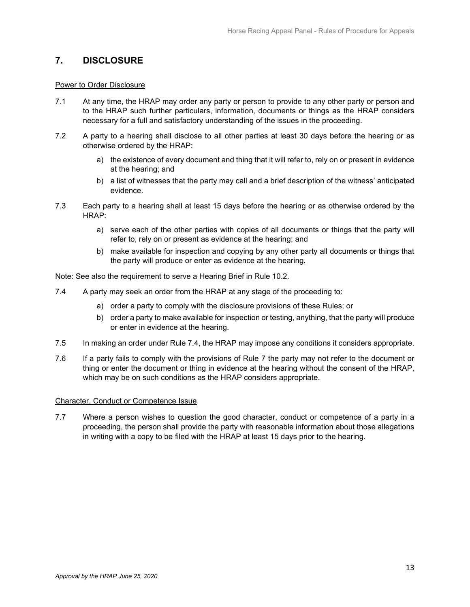# <span id="page-14-0"></span>**7. DISCLOSURE**

## <span id="page-14-1"></span>Power to Order Disclosure

- 7.1 At any time, the HRAP may order any party or person to provide to any other party or person and to the HRAP such further particulars, information, documents or things as the HRAP considers necessary for a full and satisfactory understanding of the issues in the proceeding.
- 7.2 A party to a hearing shall disclose to all other parties at least 30 days before the hearing or as otherwise ordered by the HRAP:
	- a) the existence of every document and thing that it will refer to, rely on or present in evidence at the hearing; and
	- b) a list of witnesses that the party may call and a brief description of the witness' anticipated evidence.
- 7.3 Each party to a hearing shall at least 15 days before the hearing or as otherwise ordered by the HRAP:
	- a) serve each of the other parties with copies of all documents or things that the party will refer to, rely on or present as evidence at the hearing; and
	- b) make available for inspection and copying by any other party all documents or things that the party will produce or enter as evidence at the hearing.

Note: See also the requirement to serve a Hearing Brief in Rule 10.2.

- 7.4 A party may seek an order from the HRAP at any stage of the proceeding to:
	- a) order a party to comply with the disclosure provisions of these Rules; or
	- b) order a party to make available for inspection or testing, anything, that the party will produce or enter in evidence at the hearing.
- 7.5 In making an order under Rule 7.4, the HRAP may impose any conditions it considers appropriate.
- 7.6 If a party fails to comply with the provisions of Rule 7 the party may not refer to the document or thing or enter the document or thing in evidence at the hearing without the consent of the HRAP, which may be on such conditions as the HRAP considers appropriate.

## <span id="page-14-2"></span>Character, Conduct or Competence Issue

7.7 Where a person wishes to question the good character, conduct or competence of a party in a proceeding, the person shall provide the party with reasonable information about those allegations in writing with a copy to be filed with the HRAP at least 15 days prior to the hearing.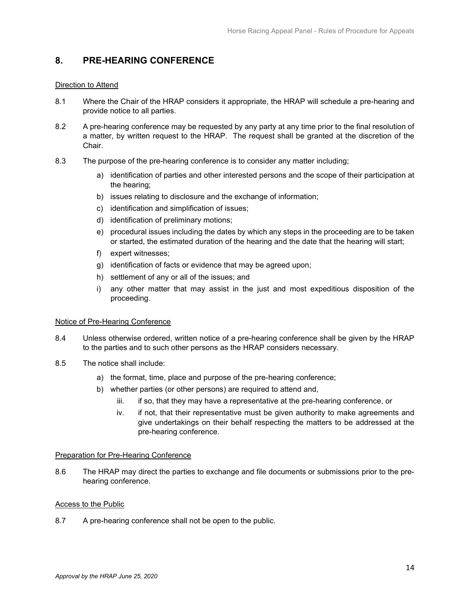# <span id="page-15-0"></span>**8. PRE-HEARING CONFERENCE**

## <span id="page-15-1"></span>Direction to Attend

- 8.1 Where the Chair of the HRAP considers it appropriate, the HRAP will schedule a pre-hearing and provide notice to all parties.
- 8.2 A pre-hearing conference may be requested by any party at any time prior to the final resolution of a matter, by written request to the HRAP. The request shall be granted at the discretion of the Chair.
- 8.3 The purpose of the pre-hearing conference is to consider any matter including;
	- a) identification of parties and other interested persons and the scope of their participation at the hearing;
	- b) issues relating to disclosure and the exchange of information;
	- c) identification and simplification of issues;
	- d) identification of preliminary motions;
	- e) procedural issues including the dates by which any steps in the proceeding are to be taken or started, the estimated duration of the hearing and the date that the hearing will start;
	- f) expert witnesses;
	- g) identification of facts or evidence that may be agreed upon;
	- h) settlement of any or all of the issues; and
	- i) any other matter that may assist in the just and most expeditious disposition of the proceeding.

## <span id="page-15-2"></span>Notice of Pre-Hearing Conference

- 8.4 Unless otherwise ordered, written notice of a pre-hearing conference shall be given by the HRAP to the parties and to such other persons as the HRAP considers necessary.
- 8.5 The notice shall include:
	- a) the format, time, place and purpose of the pre-hearing conference;
	- b) whether parties (or other persons) are required to attend and,
		- iii. if so, that they may have a representative at the pre-hearing conference, or
		- iv. if not, that their representative must be given authority to make agreements and give undertakings on their behalf respecting the matters to be addressed at the pre-hearing conference.

## <span id="page-15-3"></span>Preparation for Pre-Hearing Conference

8.6 The HRAP may direct the parties to exchange and file documents or submissions prior to the prehearing conference.

## <span id="page-15-4"></span>Access to the Public

8.7 A pre-hearing conference shall not be open to the public.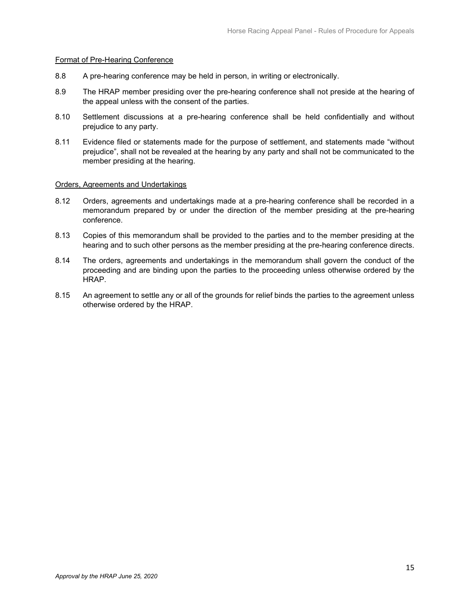## <span id="page-16-0"></span>Format of Pre-Hearing Conference

- 8.8 A pre-hearing conference may be held in person, in writing or electronically.
- 8.9 The HRAP member presiding over the pre-hearing conference shall not preside at the hearing of the appeal unless with the consent of the parties.
- 8.10 Settlement discussions at a pre-hearing conference shall be held confidentially and without prejudice to any party.
- 8.11 Evidence filed or statements made for the purpose of settlement, and statements made "without prejudice", shall not be revealed at the hearing by any party and shall not be communicated to the member presiding at the hearing.

### <span id="page-16-1"></span>Orders, Agreements and Undertakings

- 8.12 Orders, agreements and undertakings made at a pre-hearing conference shall be recorded in a memorandum prepared by or under the direction of the member presiding at the pre-hearing conference.
- 8.13 Copies of this memorandum shall be provided to the parties and to the member presiding at the hearing and to such other persons as the member presiding at the pre-hearing conference directs.
- 8.14 The orders, agreements and undertakings in the memorandum shall govern the conduct of the proceeding and are binding upon the parties to the proceeding unless otherwise ordered by the HRAP.
- 8.15 An agreement to settle any or all of the grounds for relief binds the parties to the agreement unless otherwise ordered by the HRAP.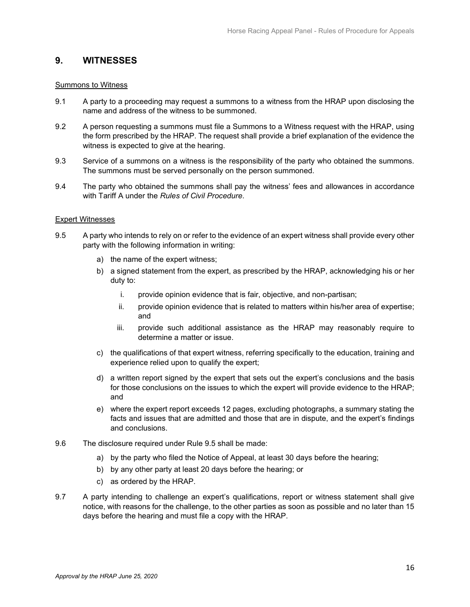# <span id="page-17-0"></span>**9. WITNESSES**

### <span id="page-17-1"></span>Summons to Witness

- 9.1 A party to a proceeding may request a summons to a witness from the HRAP upon disclosing the name and address of the witness to be summoned.
- 9.2 A person requesting a summons must file a Summons to a Witness request with the HRAP, using the form prescribed by the HRAP. The request shall provide a brief explanation of the evidence the witness is expected to give at the hearing.
- 9.3 Service of a summons on a witness is the responsibility of the party who obtained the summons. The summons must be served personally on the person summoned.
- 9.4 The party who obtained the summons shall pay the witness' fees and allowances in accordance with Tariff A under the *Rules of Civil Procedure*.

## <span id="page-17-2"></span>Expert Witnesses

- 9.5 A party who intends to rely on or refer to the evidence of an expert witness shall provide every other party with the following information in writing:
	- a) the name of the expert witness;
	- b) a signed statement from the expert, as prescribed by the HRAP, acknowledging his or her duty to:
		- i. provide opinion evidence that is fair, objective, and non-partisan;
		- ii. provide opinion evidence that is related to matters within his/her area of expertise; and
		- iii. provide such additional assistance as the HRAP may reasonably require to determine a matter or issue.
	- c) the qualifications of that expert witness, referring specifically to the education, training and experience relied upon to qualify the expert;
	- d) a written report signed by the expert that sets out the expert's conclusions and the basis for those conclusions on the issues to which the expert will provide evidence to the HRAP; and
	- e) where the expert report exceeds 12 pages, excluding photographs, a summary stating the facts and issues that are admitted and those that are in dispute, and the expert's findings and conclusions.
- 9.6 The disclosure required under Rule 9.5 shall be made:
	- a) by the party who filed the Notice of Appeal, at least 30 days before the hearing;
	- b) by any other party at least 20 days before the hearing; or
	- c) as ordered by the HRAP.
- 9.7 A party intending to challenge an expert's qualifications, report or witness statement shall give notice, with reasons for the challenge, to the other parties as soon as possible and no later than 15 days before the hearing and must file a copy with the HRAP.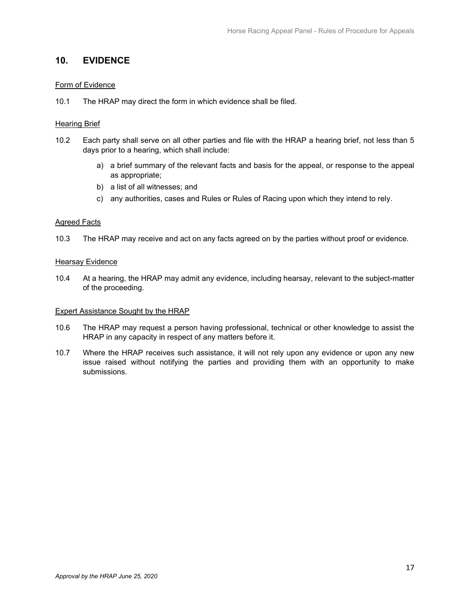# <span id="page-18-0"></span>**10. EVIDENCE**

## <span id="page-18-1"></span>Form of Evidence

10.1 The HRAP may direct the form in which evidence shall be filed.

## <span id="page-18-2"></span>Hearing Brief

- 10.2 Each party shall serve on all other parties and file with the HRAP a hearing brief, not less than 5 days prior to a hearing, which shall include:
	- a) a brief summary of the relevant facts and basis for the appeal, or response to the appeal as appropriate;
	- b) a list of all witnesses; and
	- c) any authorities, cases and Rules or Rules of Racing upon which they intend to rely.

## <span id="page-18-3"></span>Agreed Facts

10.3 The HRAP may receive and act on any facts agreed on by the parties without proof or evidence.

## <span id="page-18-4"></span>**Hearsay Evidence**

10.4 At a hearing, the HRAP may admit any evidence, including hearsay, relevant to the subject-matter of the proceeding.

## <span id="page-18-5"></span>Expert Assistance Sought by the HRAP

- 10.6 The HRAP may request a person having professional, technical or other knowledge to assist the HRAP in any capacity in respect of any matters before it.
- 10.7 Where the HRAP receives such assistance, it will not rely upon any evidence or upon any new issue raised without notifying the parties and providing them with an opportunity to make submissions.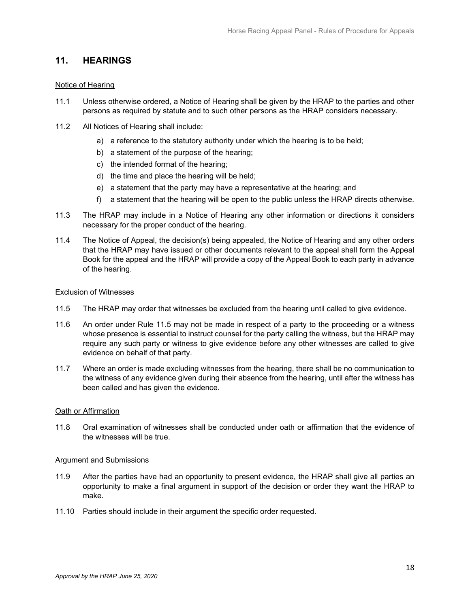# <span id="page-19-0"></span>**11. HEARINGS**

## <span id="page-19-1"></span>Notice of Hearing

- 11.1 Unless otherwise ordered, a Notice of Hearing shall be given by the HRAP to the parties and other persons as required by statute and to such other persons as the HRAP considers necessary.
- 11.2 All Notices of Hearing shall include:
	- a) a reference to the statutory authority under which the hearing is to be held;
	- b) a statement of the purpose of the hearing;
	- c) the intended format of the hearing;
	- d) the time and place the hearing will be held;
	- e) a statement that the party may have a representative at the hearing; and
	- f) a statement that the hearing will be open to the public unless the HRAP directs otherwise.
- 11.3 The HRAP may include in a Notice of Hearing any other information or directions it considers necessary for the proper conduct of the hearing.
- 11.4 The Notice of Appeal, the decision(s) being appealed, the Notice of Hearing and any other orders that the HRAP may have issued or other documents relevant to the appeal shall form the Appeal Book for the appeal and the HRAP will provide a copy of the Appeal Book to each party in advance of the hearing.

### <span id="page-19-2"></span>Exclusion of Witnesses

- 11.5 The HRAP may order that witnesses be excluded from the hearing until called to give evidence.
- 11.6 An order under Rule 11.5 may not be made in respect of a party to the proceeding or a witness whose presence is essential to instruct counsel for the party calling the witness, but the HRAP may require any such party or witness to give evidence before any other witnesses are called to give evidence on behalf of that party.
- 11.7 Where an order is made excluding witnesses from the hearing, there shall be no communication to the witness of any evidence given during their absence from the hearing, until after the witness has been called and has given the evidence.

#### <span id="page-19-3"></span>Oath or Affirmation

11.8 Oral examination of witnesses shall be conducted under oath or affirmation that the evidence of the witnesses will be true.

#### <span id="page-19-4"></span>Argument and Submissions

- 11.9 After the parties have had an opportunity to present evidence, the HRAP shall give all parties an opportunity to make a final argument in support of the decision or order they want the HRAP to make.
- 11.10 Parties should include in their argument the specific order requested.